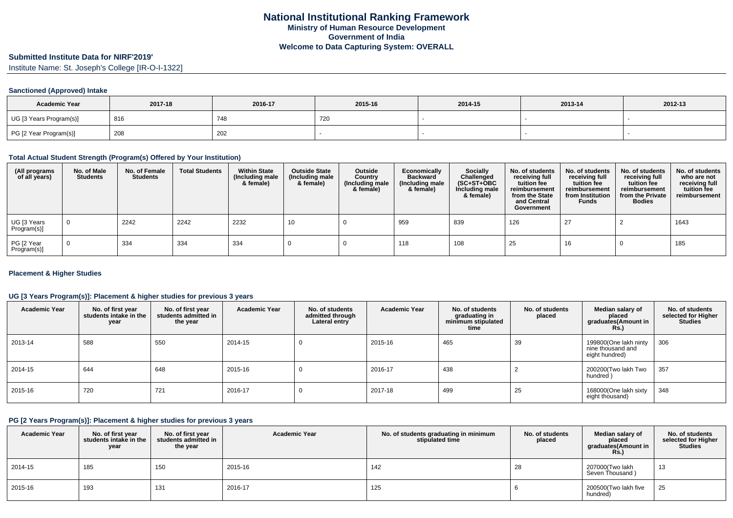# **Submitted Institute Data for NIRF'2019'**

Institute Name: St. Joseph's College [IR-O-I-1322]

#### **Sanctioned (Approved) Intake**

| <b>Academic Year</b>    | 2017-18 | 2016-17 | 2015-16 | 2014-15 | 2013-14 | 2012-13 |
|-------------------------|---------|---------|---------|---------|---------|---------|
| UG [3 Years Program(s)] | 816     | 748     | 720     |         |         |         |
| PG [2 Year Program(s)]  | 208     | 202     |         |         |         |         |

#### **Total Actual Student Strength (Program(s) Offered by Your Institution)**

| (All programs<br>of all years) | No. of Male<br><b>Students</b> | No. of Female<br><b>Students</b> | <b>Total Students</b> | <b>Within State</b><br>(Including male<br>& female) | <b>Outside State</b><br>(Including male<br>& female) | Outside<br>Country<br>(Including male<br>& female) | Economically<br><b>Backward</b><br>(Including male<br>& female) | <b>Socially</b><br>Challenged<br>$(SC+ST+OBC)$<br>Including male<br>& female) | No. of students<br>receiving full<br>tuition fee<br>reimbursement<br>from the State<br>and Central<br>Government | No. of students<br>receiving full<br>tuition fee<br>reimbursement<br>from Institution<br><b>Funds</b> | No. of students<br>receiving full<br>tuition fee<br>reimbursement<br>from the Private<br><b>Bodies</b> | No. of students<br>who are not<br>receiving full<br>tuition fee<br>reimbursement |
|--------------------------------|--------------------------------|----------------------------------|-----------------------|-----------------------------------------------------|------------------------------------------------------|----------------------------------------------------|-----------------------------------------------------------------|-------------------------------------------------------------------------------|------------------------------------------------------------------------------------------------------------------|-------------------------------------------------------------------------------------------------------|--------------------------------------------------------------------------------------------------------|----------------------------------------------------------------------------------|
| UG [3 Years<br>Program(s)]     | $\overline{0}$                 | 2242                             | 2242                  | 2232                                                | 10                                                   |                                                    | 959                                                             | 839                                                                           | 126                                                                                                              | 27                                                                                                    |                                                                                                        | 1643                                                                             |
| PG [2 Year<br>Program(s)]      | $\Omega$                       | 334                              | 334                   | 334                                                 |                                                      |                                                    | 118                                                             | 108                                                                           | 25                                                                                                               | 16                                                                                                    |                                                                                                        | 185                                                                              |

#### **Placement & Higher Studies**

#### **UG [3 Years Program(s)]: Placement & higher studies for previous 3 years**

| <b>Academic Year</b> | No. of first year<br>students intake in the<br>year | No. of first vear<br>students admitted in<br>the year | <b>Academic Year</b> | No. of students<br>admitted through<br>Lateral entry | <b>Academic Year</b> | No. of students<br>graduating in<br>minimum stipulated<br>time | No. of students<br>placed | Median salary of<br>placed<br>graduates(Amount in<br><b>Rs.)</b> | No. of students<br>selected for Higher<br><b>Studies</b> |
|----------------------|-----------------------------------------------------|-------------------------------------------------------|----------------------|------------------------------------------------------|----------------------|----------------------------------------------------------------|---------------------------|------------------------------------------------------------------|----------------------------------------------------------|
| 2013-14              | 588                                                 | 550                                                   | 2014-15              | <b>U</b>                                             | 2015-16              | 465                                                            | 39                        | 199800(One lakh ninty<br>nine thousand and<br>eight hundred)     | 306                                                      |
| 2014-15              | 644                                                 | 648                                                   | 2015-16              |                                                      | 2016-17              | 438                                                            |                           | 200200(Two lakh Two<br>hundred)                                  | 357                                                      |
| 2015-16              | 720                                                 | 721                                                   | 2016-17              | U                                                    | 2017-18              | 499                                                            | 25                        | 168000(One lakh sixty<br>eight thousand)                         | 348                                                      |

#### **PG [2 Years Program(s)]: Placement & higher studies for previous 3 years**

| <b>Academic Year</b> | No. of first year<br>students intake in the<br>year | No. of first vear<br>students admitted in<br>the year | <b>Academic Year</b> | No. of students graduating in minimum<br>stipulated time | No. of students<br>placed | Median salary of<br>placed<br>graduates(Amount in<br><b>Rs.)</b> | No. of students<br>selected for Higher<br><b>Studies</b> |
|----------------------|-----------------------------------------------------|-------------------------------------------------------|----------------------|----------------------------------------------------------|---------------------------|------------------------------------------------------------------|----------------------------------------------------------|
| 2014-15              | 185                                                 | 150                                                   | 2015-16              | 142                                                      | 28                        | 207000(Two lakh<br>Seven Thousand)                               | 13                                                       |
| 2015-16              | 193                                                 | 131                                                   | 2016-17              | 125                                                      |                           | 200500(Two lakh five<br>hundred)                                 | 25                                                       |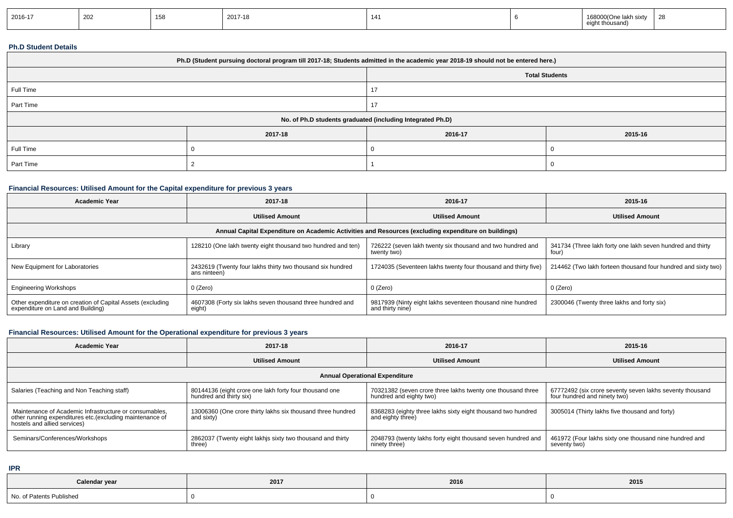| 2016-17 | 202 | 158<br>ט ט | 2017-18 | $\overline{A}$<br>. |  | 168000(One lakh sixtv<br>t thousan<br>$\sim$ $\sim$ | טר<br>-40 |
|---------|-----|------------|---------|---------------------|--|-----------------------------------------------------|-----------|
|---------|-----|------------|---------|---------------------|--|-----------------------------------------------------|-----------|

#### **Ph.D Student Details**

| Ph.D (Student pursuing doctoral program till 2017-18; Students admitted in the academic year 2018-19 should not be entered here.) |         |                       |         |  |  |  |
|-----------------------------------------------------------------------------------------------------------------------------------|---------|-----------------------|---------|--|--|--|
|                                                                                                                                   |         | <b>Total Students</b> |         |  |  |  |
| Full Time                                                                                                                         |         |                       |         |  |  |  |
| Part Time                                                                                                                         |         |                       |         |  |  |  |
| No. of Ph.D students graduated (including Integrated Ph.D)                                                                        |         |                       |         |  |  |  |
|                                                                                                                                   | 2017-18 | 2016-17               | 2015-16 |  |  |  |
| Full Time                                                                                                                         |         |                       |         |  |  |  |
| Part Time                                                                                                                         |         |                       |         |  |  |  |

## **Financial Resources: Utilised Amount for the Capital expenditure for previous 3 years**

| Academic Year                                                                                   | 2017-18                                                                    | 2016-17                                                                                              | 2015-16                                                             |
|-------------------------------------------------------------------------------------------------|----------------------------------------------------------------------------|------------------------------------------------------------------------------------------------------|---------------------------------------------------------------------|
|                                                                                                 | <b>Utilised Amount</b>                                                     | <b>Utilised Amount</b>                                                                               | <b>Utilised Amount</b>                                              |
|                                                                                                 |                                                                            | Annual Capital Expenditure on Academic Activities and Resources (excluding expenditure on buildings) |                                                                     |
| Library                                                                                         | 128210 (One lakh twenty eight thousand two hundred and ten)                | 726222 (seven lakh twenty six thousand and two hundred and<br>twenty two)                            | 341734 (Three lakh forty one lakh seven hundred and thirty<br>four) |
| New Equipment for Laboratories                                                                  | 2432619 (Twenty four lakhs thirty two thousand six hundred<br>ans ninteen) | 1724035 (Seventeen lakhs twenty four thousand and thirty five)                                       | 214462 (Two lakh forteen thousand four hundred and sixty two)       |
| <b>Engineering Workshops</b>                                                                    | 0 (Zero)                                                                   | 0 (Zero)                                                                                             | 0 (Zero)                                                            |
| Other expenditure on creation of Capital Assets (excluding<br>expenditure on Land and Building) | 4607308 (Forty six lakhs seven thousand three hundred and<br>eight)        | 9817939 (Ninty eight lakhs seventeen thousand nine hundred<br>and thirty nine)                       | 2300046 (Twenty three lakhs and forty six)                          |

## **Financial Resources: Utilised Amount for the Operational expenditure for previous 3 years**

| Academic Year                                                                                                                                      | 2017-18                                                                           | 2016-17                                                                                | 2015-16                                                                                  |  |  |  |  |  |
|----------------------------------------------------------------------------------------------------------------------------------------------------|-----------------------------------------------------------------------------------|----------------------------------------------------------------------------------------|------------------------------------------------------------------------------------------|--|--|--|--|--|
|                                                                                                                                                    | <b>Utilised Amount</b>                                                            | <b>Utilised Amount</b>                                                                 | <b>Utilised Amount</b>                                                                   |  |  |  |  |  |
| <b>Annual Operational Expenditure</b>                                                                                                              |                                                                                   |                                                                                        |                                                                                          |  |  |  |  |  |
| Salaries (Teaching and Non Teaching staff)                                                                                                         | 80144136 (eight crore one lakh forty four thousand one<br>hundred and thirty six) | 70321382 (seven crore three lakhs twenty one thousand three<br>hundred and eighty two) | 67772492 (six crore seventy seven lakhs seventy thousand<br>four hundred and ninety two) |  |  |  |  |  |
| Maintenance of Academic Infrastructure or consumables.<br>other running expenditures etc.(excluding maintenance of<br>hostels and allied services) | 13006360 (One crore thirty lakhs six thousand three hundred<br>and sixty)         | 8368283 (eighty three lakhs sixty eight thousand two hundred<br>and eighty three)      | 3005014 (Thirty lakhs five thousand and forty)                                           |  |  |  |  |  |
| Seminars/Conferences/Workshops                                                                                                                     | 2862037 (Twenty eight lakhis sixty two thousand and thirty<br>three)              | 2048793 (twenty lakhs forty eight thousand seven hundred and<br>ninety three)          | 461972 (Four lakhs sixty one thousand nine hundred and<br>seventy two)                   |  |  |  |  |  |

**IPR**

| Calendar year            | 2017 | 2016 | 2015 |
|--------------------------|------|------|------|
| No. of Patents Published |      |      |      |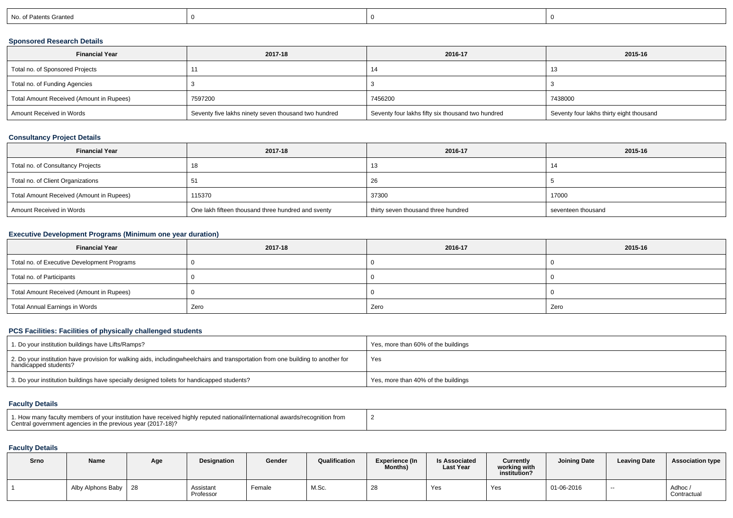| No. of Patents Granted |
|------------------------|
|------------------------|

## **Sponsored Research Details**

| <b>Financial Year</b>                    | 2017-18                                              | 2016-17                                           | 2015-16                                  |
|------------------------------------------|------------------------------------------------------|---------------------------------------------------|------------------------------------------|
| Total no. of Sponsored Projects          |                                                      | 14                                                |                                          |
| Total no. of Funding Agencies            |                                                      |                                                   |                                          |
| Total Amount Received (Amount in Rupees) | 7597200                                              | 7456200                                           | 7438000                                  |
| Amount Received in Words                 | Seventy five lakhs ninety seven thousand two hundred | Seventy four lakhs fifty six thousand two hundred | Seventy four lakhs thirty eight thousand |

## **Consultancy Project Details**

| <b>Financial Year</b>                    | 2017-18                                            | 2016-17                             | 2015-16            |
|------------------------------------------|----------------------------------------------------|-------------------------------------|--------------------|
| Total no. of Consultancy Projects        |                                                    | 10                                  |                    |
| Total no. of Client Organizations        | ່ວ⊺                                                | 26                                  |                    |
| Total Amount Received (Amount in Rupees) | 115370                                             | 37300                               | 17000              |
| Amount Received in Words                 | One lakh fifteen thousand three hundred and sventy | thirty seven thousand three hundred | seventeen thousand |

## **Executive Development Programs (Minimum one year duration)**

| <b>Financial Year</b>                       | 2017-18 | 2016-17 | 2015-16 |  |
|---------------------------------------------|---------|---------|---------|--|
| Total no. of Executive Development Programs |         |         |         |  |
| Total no. of Participants                   |         |         |         |  |
| Total Amount Received (Amount in Rupees)    |         |         |         |  |
| Total Annual Earnings in Words              | Zero    | Zero    | Zero    |  |

## **PCS Facilities: Facilities of physically challenged students**

| 1. Do your institution buildings have Lifts/Ramps?                                                                                                        | Yes, more than 60% of the buildings |
|-----------------------------------------------------------------------------------------------------------------------------------------------------------|-------------------------------------|
| 2. Do your institution have provision for walking aids, includingwheelchairs and transportation from one building to another for<br>handicapped students? | Yes                                 |
| 3. Do your institution buildings have specially designed toilets for handicapped students?                                                                | Yes, more than 40% of the buildings |

#### **Faculty Details**

| 1. How many faculty members of your institution have received highly reputed national/international awards/recognition f<br>Central government agencies in the previous vear (2017-18)? |  |
|-----------------------------------------------------------------------------------------------------------------------------------------------------------------------------------------|--|
|-----------------------------------------------------------------------------------------------------------------------------------------------------------------------------------------|--|

# **Faculty Details**

| Srno | <b>Name</b>            | Age | <b>Designation</b>     | Gender | Qualification | <b>Experience (In</b><br><b>Months)</b> | <b>Is Associated</b><br><b>Last Year</b> | Currently<br>working with<br>institution? | <b>Joining Date</b> | <b>Leaving Date</b> | <b>Association type</b> |
|------|------------------------|-----|------------------------|--------|---------------|-----------------------------------------|------------------------------------------|-------------------------------------------|---------------------|---------------------|-------------------------|
|      | Alby Alphons Baby   28 |     | Assistant<br>Professor | Female | M.Sc.         | 28                                      | Yes                                      | Yes                                       | 01-06-2016          | $- -$               | Adhoc/<br>Contractual   |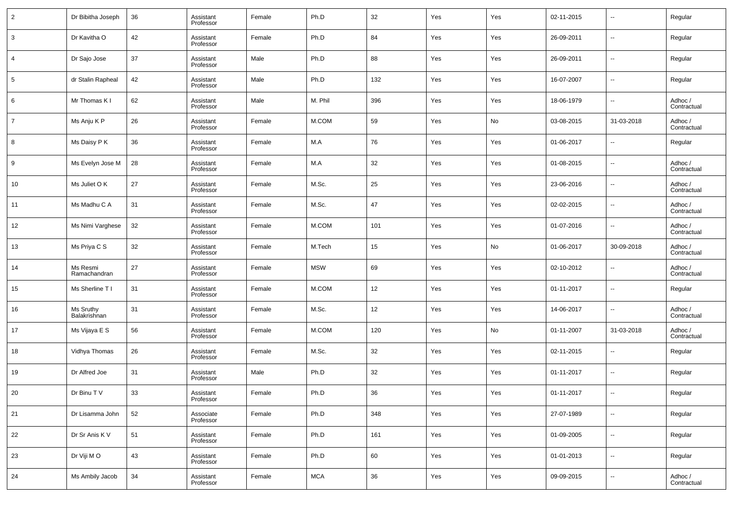| $\overline{2}$ | Dr Bibitha Joseph         | 36 | Assistant<br>Professor | Female | Ph.D       | 32  | Yes | Yes | 02-11-2015 | $\overline{\phantom{a}}$ | Regular                |
|----------------|---------------------------|----|------------------------|--------|------------|-----|-----|-----|------------|--------------------------|------------------------|
| 3              | Dr Kavitha O              | 42 | Assistant<br>Professor | Female | Ph.D       | 84  | Yes | Yes | 26-09-2011 | $\overline{\phantom{a}}$ | Regular                |
| 4              | Dr Sajo Jose              | 37 | Assistant<br>Professor | Male   | Ph.D       | 88  | Yes | Yes | 26-09-2011 | $\overline{\phantom{a}}$ | Regular                |
| 5              | dr Stalin Rapheal         | 42 | Assistant<br>Professor | Male   | Ph.D       | 132 | Yes | Yes | 16-07-2007 | $\overline{\phantom{a}}$ | Regular                |
| 6              | Mr Thomas K I             | 62 | Assistant<br>Professor | Male   | M. Phil    | 396 | Yes | Yes | 18-06-1979 | $\overline{\phantom{a}}$ | Adhoc /<br>Contractual |
| $\overline{7}$ | Ms Anju K P               | 26 | Assistant<br>Professor | Female | M.COM      | 59  | Yes | No  | 03-08-2015 | 31-03-2018               | Adhoc /<br>Contractual |
| 8              | Ms Daisy P K              | 36 | Assistant<br>Professor | Female | M.A        | 76  | Yes | Yes | 01-06-2017 | $\overline{\phantom{a}}$ | Regular                |
| 9              | Ms Evelyn Jose M          | 28 | Assistant<br>Professor | Female | M.A        | 32  | Yes | Yes | 01-08-2015 | $\overline{\phantom{a}}$ | Adhoc /<br>Contractual |
| 10             | Ms Juliet O K             | 27 | Assistant<br>Professor | Female | M.Sc.      | 25  | Yes | Yes | 23-06-2016 | $\overline{\phantom{a}}$ | Adhoc /<br>Contractual |
| 11             | Ms Madhu C A              | 31 | Assistant<br>Professor | Female | M.Sc.      | 47  | Yes | Yes | 02-02-2015 | $\overline{\phantom{a}}$ | Adhoc /<br>Contractual |
| 12             | Ms Nimi Varghese          | 32 | Assistant<br>Professor | Female | M.COM      | 101 | Yes | Yes | 01-07-2016 | $\overline{\phantom{a}}$ | Adhoc /<br>Contractual |
| 13             | Ms Priya C S              | 32 | Assistant<br>Professor | Female | M.Tech     | 15  | Yes | No  | 01-06-2017 | 30-09-2018               | Adhoc /<br>Contractual |
| 14             | Ms Resmi<br>Ramachandran  | 27 | Assistant<br>Professor | Female | <b>MSW</b> | 69  | Yes | Yes | 02-10-2012 | $\overline{\phantom{a}}$ | Adhoc /<br>Contractual |
| 15             | Ms Sherline T I           | 31 | Assistant<br>Professor | Female | M.COM      | 12  | Yes | Yes | 01-11-2017 | $\overline{\phantom{a}}$ | Regular                |
| 16             | Ms Sruthy<br>Balakrishnan | 31 | Assistant<br>Professor | Female | M.Sc.      | 12  | Yes | Yes | 14-06-2017 | $\overline{\phantom{a}}$ | Adhoc /<br>Contractual |
| 17             | Ms Vijaya E S             | 56 | Assistant<br>Professor | Female | M.COM      | 120 | Yes | No  | 01-11-2007 | 31-03-2018               | Adhoc /<br>Contractual |
| 18             | Vidhya Thomas             | 26 | Assistant<br>Professor | Female | M.Sc.      | 32  | Yes | Yes | 02-11-2015 | $\overline{\phantom{a}}$ | Regular                |
| 19             | Dr Alfred Joe             | 31 | Assistant<br>Professor | Male   | Ph.D       | 32  | Yes | Yes | 01-11-2017 | $\overline{\phantom{a}}$ | Regular                |
| 20             | Dr Binu T V               | 33 | Assistant<br>Professor | Female | Ph.D       | 36  | Yes | Yes | 01-11-2017 | $\sim$                   | Regular                |
| 21             | Dr Lisamma John           | 52 | Associate<br>Professor | Female | Ph.D       | 348 | Yes | Yes | 27-07-1989 | $\overline{\phantom{a}}$ | Regular                |
| 22             | Dr Sr Anis K V            | 51 | Assistant<br>Professor | Female | Ph.D       | 161 | Yes | Yes | 01-09-2005 | $\overline{\phantom{a}}$ | Regular                |
| 23             | Dr Viji MO                | 43 | Assistant<br>Professor | Female | Ph.D       | 60  | Yes | Yes | 01-01-2013 | $\overline{\phantom{a}}$ | Regular                |
| 24             | Ms Ambily Jacob           | 34 | Assistant<br>Professor | Female | <b>MCA</b> | 36  | Yes | Yes | 09-09-2015 | $\overline{\phantom{a}}$ | Adhoc /<br>Contractual |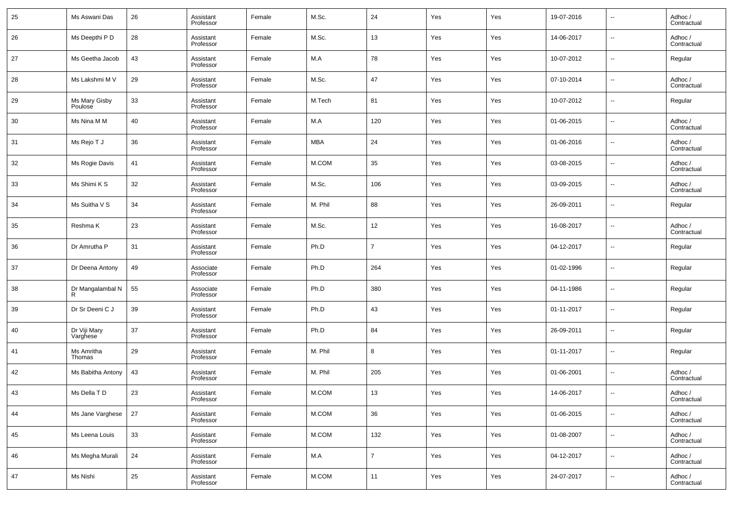| 25 | Ms Aswani Das            | 26 | Assistant<br>Professor | Female | M.Sc.   | 24             | Yes | Yes | 19-07-2016 | $\overline{\phantom{a}}$ | Adhoc /<br>Contractual |
|----|--------------------------|----|------------------------|--------|---------|----------------|-----|-----|------------|--------------------------|------------------------|
| 26 | Ms Deepthi P D           | 28 | Assistant<br>Professor | Female | M.Sc.   | 13             | Yes | Yes | 14-06-2017 | $\overline{\phantom{a}}$ | Adhoc /<br>Contractual |
| 27 | Ms Geetha Jacob          | 43 | Assistant<br>Professor | Female | M.A     | 78             | Yes | Yes | 10-07-2012 | $\overline{\phantom{a}}$ | Regular                |
| 28 | Ms Lakshmi M V           | 29 | Assistant<br>Professor | Female | M.Sc.   | 47             | Yes | Yes | 07-10-2014 | $\overline{\phantom{a}}$ | Adhoc /<br>Contractual |
| 29 | Ms Mary Gisby<br>Poulose | 33 | Assistant<br>Professor | Female | M.Tech  | 81             | Yes | Yes | 10-07-2012 | $\overline{\phantom{a}}$ | Regular                |
| 30 | Ms Nina M M              | 40 | Assistant<br>Professor | Female | M.A     | 120            | Yes | Yes | 01-06-2015 | $\overline{\phantom{a}}$ | Adhoc /<br>Contractual |
| 31 | Ms Rejo T J              | 36 | Assistant<br>Professor | Female | MBA     | 24             | Yes | Yes | 01-06-2016 | $\overline{\phantom{a}}$ | Adhoc /<br>Contractual |
| 32 | Ms Rogie Davis           | 41 | Assistant<br>Professor | Female | M.COM   | 35             | Yes | Yes | 03-08-2015 | $\overline{\phantom{a}}$ | Adhoc /<br>Contractual |
| 33 | Ms Shimi K S             | 32 | Assistant<br>Professor | Female | M.Sc.   | 106            | Yes | Yes | 03-09-2015 | $\overline{\phantom{a}}$ | Adhoc /<br>Contractual |
| 34 | Ms Suitha V S            | 34 | Assistant<br>Professor | Female | M. Phil | 88             | Yes | Yes | 26-09-2011 | $\overline{\phantom{a}}$ | Regular                |
| 35 | Reshma K                 | 23 | Assistant<br>Professor | Female | M.Sc.   | 12             | Yes | Yes | 16-08-2017 | $\overline{\phantom{a}}$ | Adhoc /<br>Contractual |
| 36 | Dr Amrutha P             | 31 | Assistant<br>Professor | Female | Ph.D    | $\overline{7}$ | Yes | Yes | 04-12-2017 | $\overline{\phantom{a}}$ | Regular                |
| 37 | Dr Deena Antony          | 49 | Associate<br>Professor | Female | Ph.D    | 264            | Yes | Yes | 01-02-1996 | $\overline{\phantom{a}}$ | Regular                |
| 38 | Dr Mangalambal N<br>R    | 55 | Associate<br>Professor | Female | Ph.D    | 380            | Yes | Yes | 04-11-1986 | $\overline{\phantom{a}}$ | Regular                |
| 39 | Dr Sr Deeni C J          | 39 | Assistant<br>Professor | Female | Ph.D    | 43             | Yes | Yes | 01-11-2017 | $\overline{\phantom{a}}$ | Regular                |
| 40 | Dr Viji Mary<br>Varghese | 37 | Assistant<br>Professor | Female | Ph.D    | 84             | Yes | Yes | 26-09-2011 | $\overline{\phantom{a}}$ | Regular                |
| 41 | Ms Amritha<br>Thomas     | 29 | Assistant<br>Professor | Female | M. Phil | 8              | Yes | Yes | 01-11-2017 | $\overline{\phantom{a}}$ | Regular                |
| 42 | Ms Babitha Antony        | 43 | Assistant<br>Professor | Female | M. Phil | 205            | Yes | Yes | 01-06-2001 | $\overline{\phantom{a}}$ | Adhoc /<br>Contractual |
| 43 | Ms Della T D             | 23 | Assistant<br>Professor | Female | M.COM   | 13             | Yes | Yes | 14-06-2017 | $\overline{\phantom{a}}$ | Adhoc /<br>Contractual |
| 44 | Ms Jane Varghese         | 27 | Assistant<br>Professor | Female | M.COM   | $36\,$         | Yes | Yes | 01-06-2015 | $\overline{\phantom{a}}$ | Adhoc /<br>Contractual |
| 45 | Ms Leena Louis           | 33 | Assistant<br>Professor | Female | M.COM   | 132            | Yes | Yes | 01-08-2007 | $\overline{\phantom{a}}$ | Adhoc /<br>Contractual |
| 46 | Ms Megha Murali          | 24 | Assistant<br>Professor | Female | M.A     | $\overline{7}$ | Yes | Yes | 04-12-2017 | $\overline{\phantom{a}}$ | Adhoc /<br>Contractual |
| 47 | Ms Nishi                 | 25 | Assistant<br>Professor | Female | M.COM   | 11             | Yes | Yes | 24-07-2017 | $\overline{\phantom{a}}$ | Adhoc /<br>Contractual |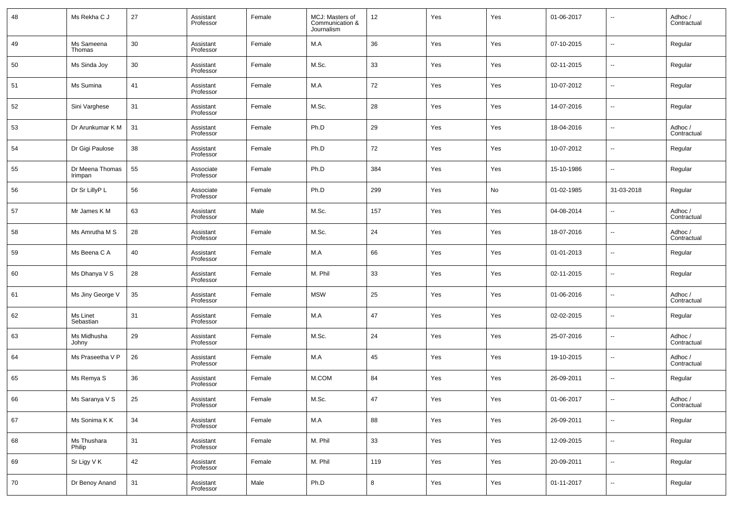| 48 | Ms Rekha C J               | 27 | Assistant<br>Professor | Female | MCJ: Masters of<br>Communication &<br>Journalism | 12  | Yes | Yes | 01-06-2017 | $\overline{\phantom{a}}$ | Adhoc /<br>Contractual |
|----|----------------------------|----|------------------------|--------|--------------------------------------------------|-----|-----|-----|------------|--------------------------|------------------------|
| 49 | Ms Sameena<br>Thomas       | 30 | Assistant<br>Professor | Female | M.A                                              | 36  | Yes | Yes | 07-10-2015 | $\sim$                   | Regular                |
| 50 | Ms Sinda Joy               | 30 | Assistant<br>Professor | Female | M.Sc.                                            | 33  | Yes | Yes | 02-11-2015 | $\overline{\phantom{a}}$ | Regular                |
| 51 | Ms Sumina                  | 41 | Assistant<br>Professor | Female | M.A                                              | 72  | Yes | Yes | 10-07-2012 | $\overline{\phantom{a}}$ | Regular                |
| 52 | Sini Varghese              | 31 | Assistant<br>Professor | Female | M.Sc.                                            | 28  | Yes | Yes | 14-07-2016 | $\overline{\phantom{a}}$ | Regular                |
| 53 | Dr Arunkumar K M           | 31 | Assistant<br>Professor | Female | Ph.D                                             | 29  | Yes | Yes | 18-04-2016 | $\overline{\phantom{a}}$ | Adhoc /<br>Contractual |
| 54 | Dr Gigi Paulose            | 38 | Assistant<br>Professor | Female | Ph.D                                             | 72  | Yes | Yes | 10-07-2012 | $\sim$                   | Regular                |
| 55 | Dr Meena Thomas<br>Irimpan | 55 | Associate<br>Professor | Female | Ph.D                                             | 384 | Yes | Yes | 15-10-1986 | $\sim$                   | Regular                |
| 56 | Dr Sr LillyP L             | 56 | Associate<br>Professor | Female | Ph.D                                             | 299 | Yes | No  | 01-02-1985 | 31-03-2018               | Regular                |
| 57 | Mr James K M               | 63 | Assistant<br>Professor | Male   | M.Sc.                                            | 157 | Yes | Yes | 04-08-2014 | $\overline{\phantom{a}}$ | Adhoc /<br>Contractual |
| 58 | Ms Amrutha M S             | 28 | Assistant<br>Professor | Female | M.Sc.                                            | 24  | Yes | Yes | 18-07-2016 | $\overline{\phantom{a}}$ | Adhoc /<br>Contractual |
| 59 | Ms Beena C A               | 40 | Assistant<br>Professor | Female | M.A                                              | 66  | Yes | Yes | 01-01-2013 | $\overline{\phantom{a}}$ | Regular                |
| 60 | Ms Dhanya V S              | 28 | Assistant<br>Professor | Female | M. Phil                                          | 33  | Yes | Yes | 02-11-2015 | $\overline{\phantom{a}}$ | Regular                |
| 61 | Ms Jiny George V           | 35 | Assistant<br>Professor | Female | <b>MSW</b>                                       | 25  | Yes | Yes | 01-06-2016 | $\overline{\phantom{a}}$ | Adhoc /<br>Contractual |
| 62 | Ms Linet<br>Sebastian      | 31 | Assistant<br>Professor | Female | M.A                                              | 47  | Yes | Yes | 02-02-2015 | $\overline{\phantom{a}}$ | Regular                |
| 63 | Ms Midhusha<br>Johny       | 29 | Assistant<br>Professor | Female | M.Sc.                                            | 24  | Yes | Yes | 25-07-2016 | $\overline{\phantom{a}}$ | Adhoc /<br>Contractual |
| 64 | Ms Praseetha V P           | 26 | Assistant<br>Professor | Female | M.A                                              | 45  | Yes | Yes | 19-10-2015 | $\overline{\phantom{a}}$ | Adhoc /<br>Contractual |
| 65 | Ms Remya S                 | 36 | Assistant<br>Professor | Female | M.COM                                            | 84  | Yes | Yes | 26-09-2011 | $\overline{\phantom{a}}$ | Regular                |
| 66 | Ms Saranya V S             | 25 | Assistant<br>Professor | Female | M.Sc.                                            | 47  | Yes | Yes | 01-06-2017 | $\overline{\phantom{a}}$ | Adhoc /<br>Contractual |
| 67 | Ms Sonima K K              | 34 | Assistant<br>Professor | Female | $\mathsf{M.A}$                                   | 88  | Yes | Yes | 26-09-2011 | $\overline{\phantom{a}}$ | Regular                |
| 68 | Ms Thushara<br>Philip      | 31 | Assistant<br>Professor | Female | M. Phil                                          | 33  | Yes | Yes | 12-09-2015 | $\overline{\phantom{a}}$ | Regular                |
| 69 | Sr Ligy V K                | 42 | Assistant<br>Professor | Female | M. Phil                                          | 119 | Yes | Yes | 20-09-2011 | $\overline{\phantom{a}}$ | Regular                |
| 70 | Dr Benoy Anand             | 31 | Assistant<br>Professor | Male   | Ph.D                                             | 8   | Yes | Yes | 01-11-2017 | $\overline{\phantom{a}}$ | Regular                |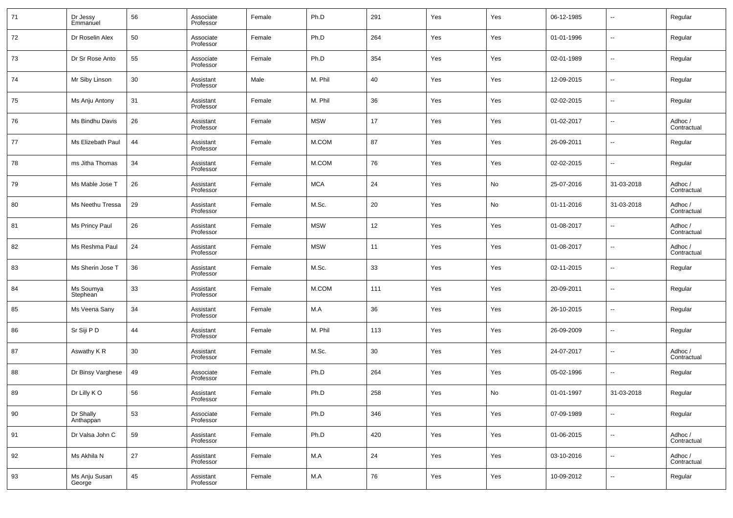| 71 | Dr Jessy<br>Emmanuel    | 56 | Associate<br>Professor | Female | Ph.D       | 291    | Yes | Yes | 06-12-1985 | $\overline{\phantom{a}}$ | Regular                |
|----|-------------------------|----|------------------------|--------|------------|--------|-----|-----|------------|--------------------------|------------------------|
| 72 | Dr Roselin Alex         | 50 | Associate<br>Professor | Female | Ph.D       | 264    | Yes | Yes | 01-01-1996 | $\overline{\phantom{a}}$ | Regular                |
| 73 | Dr Sr Rose Anto         | 55 | Associate<br>Professor | Female | Ph.D       | 354    | Yes | Yes | 02-01-1989 | $\overline{\phantom{a}}$ | Regular                |
| 74 | Mr Siby Linson          | 30 | Assistant<br>Professor | Male   | M. Phil    | 40     | Yes | Yes | 12-09-2015 | $\overline{\phantom{a}}$ | Regular                |
| 75 | Ms Anju Antony          | 31 | Assistant<br>Professor | Female | M. Phil    | 36     | Yes | Yes | 02-02-2015 | $\overline{\phantom{a}}$ | Regular                |
| 76 | Ms Bindhu Davis         | 26 | Assistant<br>Professor | Female | <b>MSW</b> | 17     | Yes | Yes | 01-02-2017 | $\overline{\phantom{a}}$ | Adhoc /<br>Contractual |
| 77 | Ms Elizebath Paul       | 44 | Assistant<br>Professor | Female | M.COM      | 87     | Yes | Yes | 26-09-2011 | $\overline{\phantom{a}}$ | Regular                |
| 78 | ms Jitha Thomas         | 34 | Assistant<br>Professor | Female | M.COM      | 76     | Yes | Yes | 02-02-2015 | $\overline{\phantom{a}}$ | Regular                |
| 79 | Ms Mable Jose T         | 26 | Assistant<br>Professor | Female | <b>MCA</b> | 24     | Yes | No  | 25-07-2016 | 31-03-2018               | Adhoc /<br>Contractual |
| 80 | Ms Neethu Tressa        | 29 | Assistant<br>Professor | Female | M.Sc.      | 20     | Yes | No  | 01-11-2016 | 31-03-2018               | Adhoc /<br>Contractual |
| 81 | Ms Princy Paul          | 26 | Assistant<br>Professor | Female | <b>MSW</b> | 12     | Yes | Yes | 01-08-2017 | $\overline{\phantom{a}}$ | Adhoc /<br>Contractual |
| 82 | Ms Reshma Paul          | 24 | Assistant<br>Professor | Female | <b>MSW</b> | 11     | Yes | Yes | 01-08-2017 | $\overline{\phantom{a}}$ | Adhoc /<br>Contractual |
| 83 | Ms Sherin Jose T        | 36 | Assistant<br>Professor | Female | M.Sc.      | 33     | Yes | Yes | 02-11-2015 | $\overline{\phantom{a}}$ | Regular                |
| 84 | Ms Soumya<br>Stephean   | 33 | Assistant<br>Professor | Female | M.COM      | 111    | Yes | Yes | 20-09-2011 | $\overline{\phantom{a}}$ | Regular                |
| 85 | Ms Veena Sany           | 34 | Assistant<br>Professor | Female | M.A        | 36     | Yes | Yes | 26-10-2015 | $\overline{\phantom{a}}$ | Regular                |
| 86 | Sr Siji P D             | 44 | Assistant<br>Professor | Female | M. Phil    | 113    | Yes | Yes | 26-09-2009 | $\overline{\phantom{a}}$ | Regular                |
| 87 | Aswathy K <sub>R</sub>  | 30 | Assistant<br>Professor | Female | M.Sc.      | 30     | Yes | Yes | 24-07-2017 | $\overline{\phantom{a}}$ | Adhoc /<br>Contractual |
| 88 | Dr Binsy Varghese       | 49 | Associate<br>Professor | Female | Ph.D       | 264    | Yes | Yes | 05-02-1996 | $\overline{\phantom{a}}$ | Regular                |
| 89 | Dr Lilly KO             | 56 | Assistant<br>Professor | Female | Ph.D       | 258    | Yes | No  | 01-01-1997 | 31-03-2018               | Regular                |
| 90 | Dr Shally<br>Anthappan  | 53 | Associate<br>Professor | Female | Ph.D       | 346    | Yes | Yes | 07-09-1989 | $\sim$                   | Regular                |
| 91 | Dr Valsa John C         | 59 | Assistant<br>Professor | Female | Ph.D       | 420    | Yes | Yes | 01-06-2015 | $\overline{\phantom{a}}$ | Adhoc /<br>Contractual |
| 92 | Ms Akhila N             | 27 | Assistant<br>Professor | Female | M.A        | $24\,$ | Yes | Yes | 03-10-2016 | $\overline{\phantom{a}}$ | Adhoc /<br>Contractual |
| 93 | Ms Anju Susan<br>George | 45 | Assistant<br>Professor | Female | M.A        | 76     | Yes | Yes | 10-09-2012 | $\overline{\phantom{a}}$ | Regular                |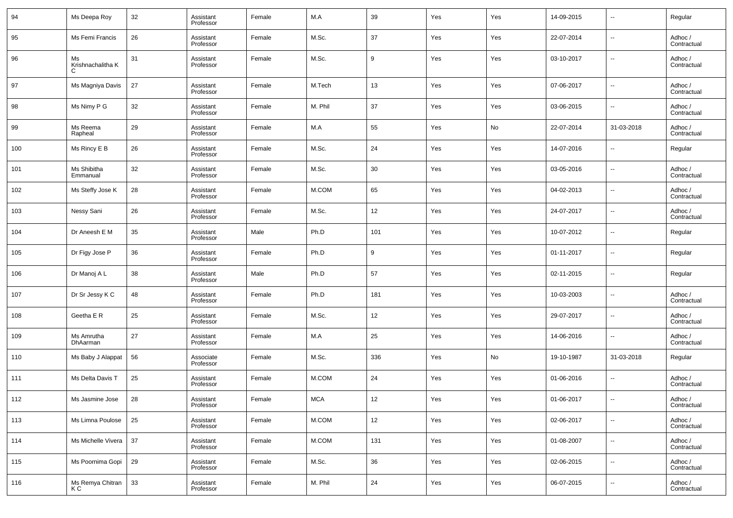| 94  | Ms Deepa Roy                 | 32 | Assistant<br>Professor | Female | M.A       | 39  | Yes | Yes | 14-09-2015 | $\overline{\phantom{a}}$ | Regular                |
|-----|------------------------------|----|------------------------|--------|-----------|-----|-----|-----|------------|--------------------------|------------------------|
| 95  | Ms Femi Francis              | 26 | Assistant<br>Professor | Female | M.Sc.     | 37  | Yes | Yes | 22-07-2014 | $\overline{\phantom{a}}$ | Adhoc /<br>Contractual |
| 96  | Ms<br>Krishnachalitha K<br>C | 31 | Assistant<br>Professor | Female | M.Sc.     | 9   | Yes | Yes | 03-10-2017 | $\overline{\phantom{a}}$ | Adhoc /<br>Contractual |
| 97  | Ms Magniya Davis             | 27 | Assistant<br>Professor | Female | M.Tech    | 13  | Yes | Yes | 07-06-2017 | $\ddotsc$                | Adhoc /<br>Contractual |
| 98  | Ms Nimy P G                  | 32 | Assistant<br>Professor | Female | M. Phil   | 37  | Yes | Yes | 03-06-2015 | $\ddotsc$                | Adhoc /<br>Contractual |
| 99  | Ms Reema<br>Rapheal          | 29 | Assistant<br>Professor | Female | M.A       | 55  | Yes | No  | 22-07-2014 | 31-03-2018               | Adhoc /<br>Contractual |
| 100 | Ms Rincy E B                 | 26 | Assistant<br>Professor | Female | M.Sc.     | 24  | Yes | Yes | 14-07-2016 | $\ddotsc$                | Regular                |
| 101 | Ms Shibitha<br>Emmanual      | 32 | Assistant<br>Professor | Female | M.Sc.     | 30  | Yes | Yes | 03-05-2016 | $\overline{\phantom{a}}$ | Adhoc /<br>Contractual |
| 102 | Ms Steffy Jose K             | 28 | Assistant<br>Professor | Female | M.COM     | 65  | Yes | Yes | 04-02-2013 | $\ddotsc$                | Adhoc /<br>Contractual |
| 103 | Nessy Sani                   | 26 | Assistant<br>Professor | Female | M.Sc.     | 12  | Yes | Yes | 24-07-2017 | $\ddotsc$                | Adhoc /<br>Contractual |
| 104 | Dr Aneesh E M                | 35 | Assistant<br>Professor | Male   | Ph.D      | 101 | Yes | Yes | 10-07-2012 | $\overline{\phantom{a}}$ | Regular                |
| 105 | Dr Figy Jose P               | 36 | Assistant<br>Professor | Female | Ph.D      | 9   | Yes | Yes | 01-11-2017 | $\ddotsc$                | Regular                |
| 106 | Dr Manoj A L                 | 38 | Assistant<br>Professor | Male   | Ph.D      | 57  | Yes | Yes | 02-11-2015 | $\ddotsc$                | Regular                |
| 107 | Dr Sr Jessy K C              | 48 | Assistant<br>Professor | Female | Ph.D      | 181 | Yes | Yes | 10-03-2003 | $\overline{\phantom{a}}$ | Adhoc /<br>Contractual |
| 108 | Geetha E R                   | 25 | Assistant<br>Professor | Female | M.Sc.     | 12  | Yes | Yes | 29-07-2017 | $\overline{\phantom{a}}$ | Adhoc /<br>Contractual |
| 109 | Ms Amrutha<br>DhAarman       | 27 | Assistant<br>Professor | Female | M.A       | 25  | Yes | Yes | 14-06-2016 | $\ddotsc$                | Adhoc /<br>Contractual |
| 110 | Ms Baby J Alappat            | 56 | Associate<br>Professor | Female | M.Sc.     | 336 | Yes | No  | 19-10-1987 | 31-03-2018               | Regular                |
| 111 | Ms Delta Davis T             | 25 | Assistant<br>Professor | Female | M.COM     | 24  | Yes | Yes | 01-06-2016 | $\overline{\phantom{a}}$ | Adhoc /<br>Contractual |
| 112 | Ms Jasmine Jose              | 28 | Assistant<br>Professor | Female | $\sf MCA$ | 12  | Yes | Yes | 01-06-2017 |                          | Adhoc /<br>Contractual |
| 113 | Ms Limna Poulose             | 25 | Assistant<br>Professor | Female | $M.$ COM  | 12  | Yes | Yes | 02-06-2017 | $\overline{\phantom{a}}$ | Adhoc /<br>Contractual |
| 114 | Ms Michelle Vivera           | 37 | Assistant<br>Professor | Female | M.COM     | 131 | Yes | Yes | 01-08-2007 | $\overline{\phantom{a}}$ | Adhoc /<br>Contractual |
| 115 | Ms Poornima Gopi             | 29 | Assistant<br>Professor | Female | M.Sc.     | 36  | Yes | Yes | 02-06-2015 | $\overline{\phantom{a}}$ | Adhoc /<br>Contractual |
| 116 | Ms Remya Chitran<br>K C      | 33 | Assistant<br>Professor | Female | M. Phil   | 24  | Yes | Yes | 06-07-2015 | $\overline{\phantom{a}}$ | Adhoc /<br>Contractual |